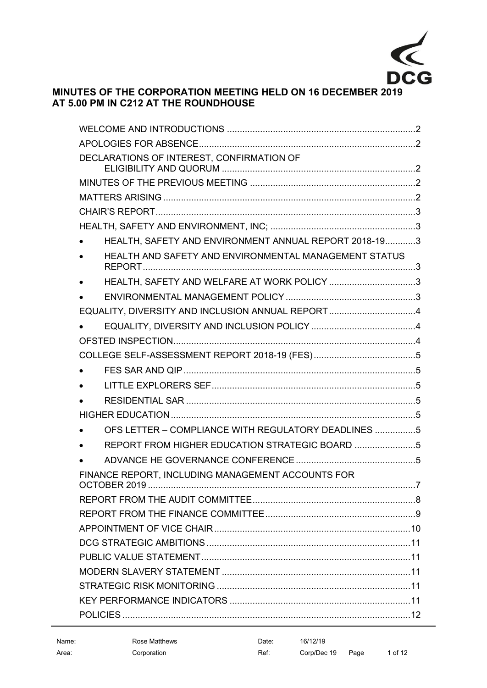

# **MINUTES OF THE CORPORATION MEETING HELD ON 16 DECEMBER 2019 AT 5.00 PM IN C212 AT THE ROUNDHOUSE**

|  | DECLARATIONS OF INTEREST, CONFIRMATION OF             |  |  |
|--|-------------------------------------------------------|--|--|
|  |                                                       |  |  |
|  |                                                       |  |  |
|  |                                                       |  |  |
|  |                                                       |  |  |
|  | HEALTH, SAFETY AND ENVIRONMENT ANNUAL REPORT 2018-193 |  |  |
|  | HEALTH AND SAFETY AND ENVIRONMENTAL MANAGEMENT STATUS |  |  |
|  | HEALTH, SAFETY AND WELFARE AT WORK POLICY 3           |  |  |
|  |                                                       |  |  |
|  | EQUALITY, DIVERSITY AND INCLUSION ANNUAL REPORT4      |  |  |
|  |                                                       |  |  |
|  |                                                       |  |  |
|  |                                                       |  |  |
|  |                                                       |  |  |
|  |                                                       |  |  |
|  |                                                       |  |  |
|  |                                                       |  |  |
|  | OFS LETTER - COMPLIANCE WITH REGULATORY DEADLINES 5   |  |  |
|  |                                                       |  |  |
|  |                                                       |  |  |
|  | FINANCE REPORT, INCLUDING MANAGEMENT ACCOUNTS FOR     |  |  |
|  |                                                       |  |  |
|  |                                                       |  |  |
|  |                                                       |  |  |
|  |                                                       |  |  |
|  |                                                       |  |  |
|  |                                                       |  |  |
|  |                                                       |  |  |
|  |                                                       |  |  |
|  |                                                       |  |  |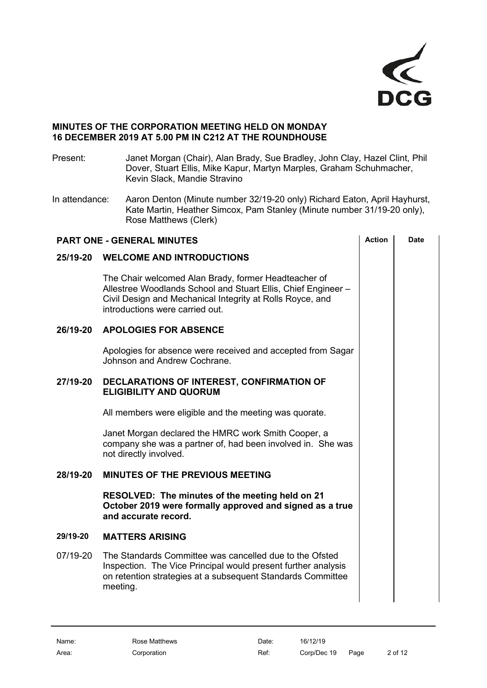

# **MINUTES OF THE CORPORATION MEETING HELD ON MONDAY 16 DECEMBER 2019 AT 5.00 PM IN C212 AT THE ROUNDHOUSE**

Present: Janet Morgan (Chair), Alan Brady, Sue Bradley, John Clay, Hazel Clint, Phil Dover, Stuart Ellis, Mike Kapur, Martyn Marples, Graham Schuhmacher, Kevin Slack, Mandie Stravino

In attendance: Aaron Denton (Minute number 32/19-20 only) Richard Eaton, April Hayhurst, Kate Martin, Heather Simcox, Pam Stanley (Minute number 31/19-20 only), Rose Matthews (Clerk)

<span id="page-1-4"></span><span id="page-1-3"></span><span id="page-1-2"></span><span id="page-1-1"></span><span id="page-1-0"></span>

| <b>PART ONE - GENERAL MINUTES</b> |                                                                                                                                                                                                                       | <b>Action</b> | Date |
|-----------------------------------|-----------------------------------------------------------------------------------------------------------------------------------------------------------------------------------------------------------------------|---------------|------|
| 25/19-20                          | <b>WELCOME AND INTRODUCTIONS</b>                                                                                                                                                                                      |               |      |
|                                   | The Chair welcomed Alan Brady, former Headteacher of<br>Allestree Woodlands School and Stuart Ellis, Chief Engineer -<br>Civil Design and Mechanical Integrity at Rolls Royce, and<br>introductions were carried out. |               |      |
| 26/19-20                          | <b>APOLOGIES FOR ABSENCE</b>                                                                                                                                                                                          |               |      |
|                                   | Apologies for absence were received and accepted from Sagar<br>Johnson and Andrew Cochrane.                                                                                                                           |               |      |
| 27/19-20                          | DECLARATIONS OF INTEREST, CONFIRMATION OF<br><b>ELIGIBILITY AND QUORUM</b>                                                                                                                                            |               |      |
|                                   | All members were eligible and the meeting was quorate.                                                                                                                                                                |               |      |
|                                   | Janet Morgan declared the HMRC work Smith Cooper, a<br>company she was a partner of, had been involved in. She was<br>not directly involved.                                                                          |               |      |
| 28/19-20                          | <b>MINUTES OF THE PREVIOUS MEETING</b>                                                                                                                                                                                |               |      |
|                                   | RESOLVED: The minutes of the meeting held on 21<br>October 2019 were formally approved and signed as a true<br>and accurate record.                                                                                   |               |      |
| 29/19-20                          | <b>MATTERS ARISING</b>                                                                                                                                                                                                |               |      |
| 07/19-20                          | The Standards Committee was cancelled due to the Ofsted<br>Inspection. The Vice Principal would present further analysis<br>on retention strategies at a subsequent Standards Committee<br>meeting.                   |               |      |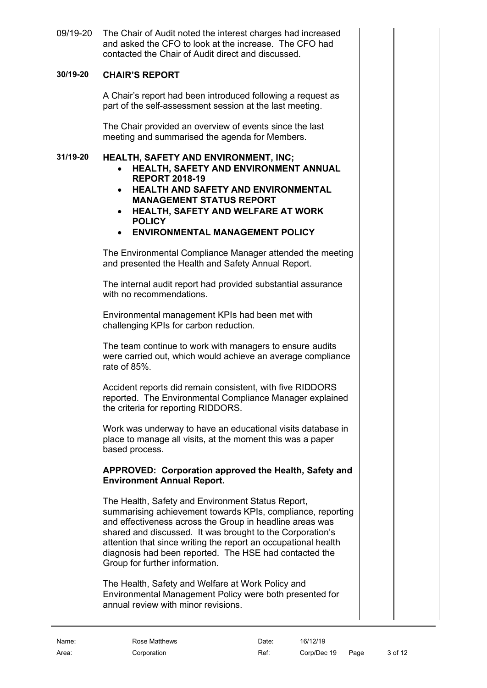09/19-20 The Chair of Audit noted the interest charges had increased and asked the CFO to look at the increase. The CFO had contacted the Chair of Audit direct and discussed.

# **30/19-20 CHAIR'S REPORT**

<span id="page-2-0"></span>A Chair's report had been introduced following a request as part of the self-assessment session at the last meeting.

The Chair provided an overview of events since the last meeting and summarised the agenda for Members.

### **31/19-20 HEALTH, SAFETY AND ENVIRONMENT, INC;**

- <span id="page-2-2"></span><span id="page-2-1"></span>• **HEALTH, SAFETY AND ENVIRONMENT ANNUAL REPORT 2018-19**
- <span id="page-2-3"></span>• **HEALTH AND SAFETY AND ENVIRONMENTAL MANAGEMENT STATUS REPORT**
- <span id="page-2-4"></span>• **HEALTH, SAFETY AND WELFARE AT WORK POLICY**
- <span id="page-2-5"></span>• **ENVIRONMENTAL MANAGEMENT POLICY**

The Environmental Compliance Manager attended the meeting and presented the Health and Safety Annual Report.

The internal audit report had provided substantial assurance with no recommendations.

Environmental management KPIs had been met with challenging KPIs for carbon reduction.

The team continue to work with managers to ensure audits were carried out, which would achieve an average compliance rate of 85%.

Accident reports did remain consistent, with five RIDDORS reported. The Environmental Compliance Manager explained the criteria for reporting RIDDORS.

Work was underway to have an educational visits database in place to manage all visits, at the moment this was a paper based process.

#### **APPROVED: Corporation approved the Health, Safety and Environment Annual Report.**

The Health, Safety and Environment Status Report, summarising achievement towards KPIs, compliance, reporting and effectiveness across the Group in headline areas was shared and discussed. It was brought to the Corporation's attention that since writing the report an occupational health diagnosis had been reported. The HSE had contacted the Group for further information.

The Health, Safety and Welfare at Work Policy and Environmental Management Policy were both presented for annual review with minor revisions.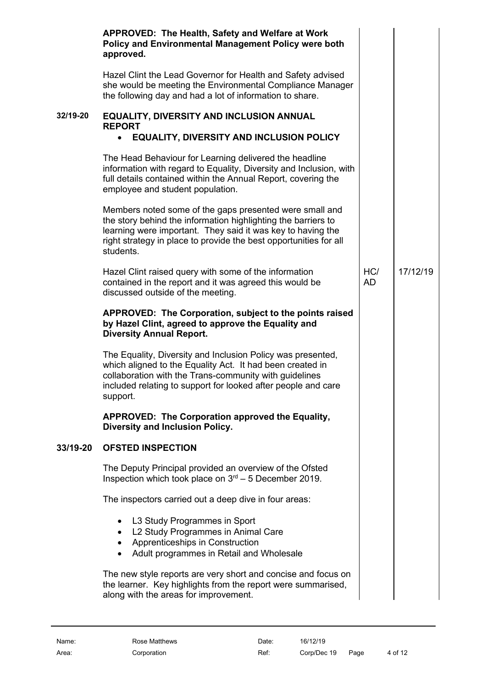<span id="page-3-2"></span><span id="page-3-1"></span><span id="page-3-0"></span>

|          | APPROVED: The Health, Safety and Welfare at Work<br>Policy and Environmental Management Policy were both<br>approved.                                                                                                                                                     |           |          |
|----------|---------------------------------------------------------------------------------------------------------------------------------------------------------------------------------------------------------------------------------------------------------------------------|-----------|----------|
|          | Hazel Clint the Lead Governor for Health and Safety advised<br>she would be meeting the Environmental Compliance Manager<br>the following day and had a lot of information to share.                                                                                      |           |          |
| 32/19-20 | <b>EQUALITY, DIVERSITY AND INCLUSION ANNUAL</b><br><b>REPORT</b><br><b>EQUALITY, DIVERSITY AND INCLUSION POLICY</b><br>$\bullet$                                                                                                                                          |           |          |
|          | The Head Behaviour for Learning delivered the headline<br>information with regard to Equality, Diversity and Inclusion, with<br>full details contained within the Annual Report, covering the<br>employee and student population.                                         |           |          |
|          | Members noted some of the gaps presented were small and<br>the story behind the information highlighting the barriers to<br>learning were important. They said it was key to having the<br>right strategy in place to provide the best opportunities for all<br>students. |           |          |
|          | Hazel Clint raised query with some of the information<br>contained in the report and it was agreed this would be<br>discussed outside of the meeting.                                                                                                                     | HC/<br>AD | 17/12/19 |
|          | APPROVED: The Corporation, subject to the points raised<br>by Hazel Clint, agreed to approve the Equality and<br><b>Diversity Annual Report.</b>                                                                                                                          |           |          |
|          | The Equality, Diversity and Inclusion Policy was presented,<br>which aligned to the Equality Act. It had been created in<br>collaboration with the Trans-community with guidelines<br>included relating to support for looked after people and care<br>support.           |           |          |
|          | APPROVED: The Corporation approved the Equality,<br>Diversity and Inclusion Policy.                                                                                                                                                                                       |           |          |
| 33/19-20 | <b>OFSTED INSPECTION</b>                                                                                                                                                                                                                                                  |           |          |
|          | The Deputy Principal provided an overview of the Ofsted<br>Inspection which took place on $3rd - 5$ December 2019.                                                                                                                                                        |           |          |
|          | The inspectors carried out a deep dive in four areas:                                                                                                                                                                                                                     |           |          |
|          | L3 Study Programmes in Sport<br>٠<br>L2 Study Programmes in Animal Care<br>$\bullet$<br>• Apprenticeships in Construction<br>Adult programmes in Retail and Wholesale                                                                                                     |           |          |
|          | The new style reports are very short and concise and focus on<br>the learner. Key highlights from the report were summarised,<br>along with the areas for improvement.                                                                                                    |           |          |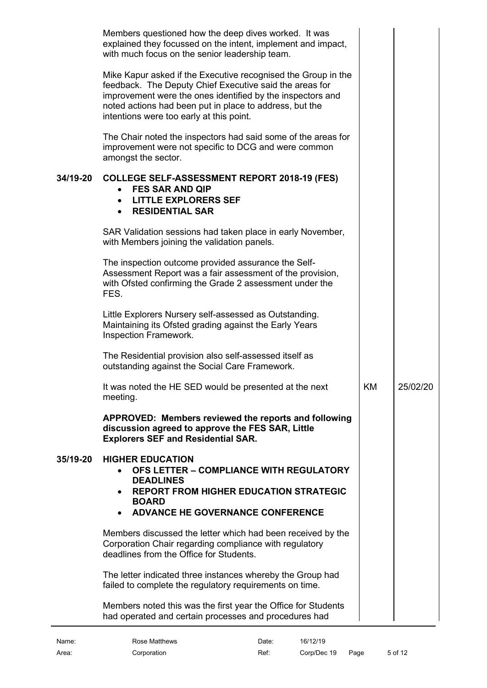<span id="page-4-7"></span><span id="page-4-6"></span><span id="page-4-5"></span><span id="page-4-4"></span><span id="page-4-3"></span><span id="page-4-2"></span><span id="page-4-1"></span><span id="page-4-0"></span>

|          | Members questioned how the deep dives worked. It was<br>explained they focussed on the intent, implement and impact,<br>with much focus on the senior leadership team.                                                                                                                        |           |          |
|----------|-----------------------------------------------------------------------------------------------------------------------------------------------------------------------------------------------------------------------------------------------------------------------------------------------|-----------|----------|
|          | Mike Kapur asked if the Executive recognised the Group in the<br>feedback. The Deputy Chief Executive said the areas for<br>improvement were the ones identified by the inspectors and<br>noted actions had been put in place to address, but the<br>intentions were too early at this point. |           |          |
|          | The Chair noted the inspectors had said some of the areas for<br>improvement were not specific to DCG and were common<br>amongst the sector.                                                                                                                                                  |           |          |
| 34/19-20 | <b>COLLEGE SELF-ASSESSMENT REPORT 2018-19 (FES)</b><br><b>FES SAR AND QIP</b><br>$\bullet$<br><b>LITTLE EXPLORERS SEF</b><br>$\bullet$<br><b>RESIDENTIAL SAR</b><br>$\bullet$                                                                                                                 |           |          |
|          | SAR Validation sessions had taken place in early November,<br>with Members joining the validation panels.                                                                                                                                                                                     |           |          |
|          | The inspection outcome provided assurance the Self-<br>Assessment Report was a fair assessment of the provision,<br>with Ofsted confirming the Grade 2 assessment under the<br>FES.                                                                                                           |           |          |
|          | Little Explorers Nursery self-assessed as Outstanding.<br>Maintaining its Ofsted grading against the Early Years<br>Inspection Framework.                                                                                                                                                     |           |          |
|          | The Residential provision also self-assessed itself as<br>outstanding against the Social Care Framework.                                                                                                                                                                                      |           |          |
|          | It was noted the HE SED would be presented at the next<br>meeting.                                                                                                                                                                                                                            | <b>KM</b> | 25/02/20 |
|          | APPROVED: Members reviewed the reports and following<br>discussion agreed to approve the FES SAR, Little<br><b>Explorers SEF and Residential SAR.</b>                                                                                                                                         |           |          |
| 35/19-20 | <b>HIGHER EDUCATION</b><br>OFS LETTER - COMPLIANCE WITH REGULATORY<br><b>DEADLINES</b><br><b>REPORT FROM HIGHER EDUCATION STRATEGIC</b><br><b>BOARD</b><br><b>ADVANCE HE GOVERNANCE CONFERENCE</b><br>$\bullet$                                                                               |           |          |
|          | Members discussed the letter which had been received by the<br>Corporation Chair regarding compliance with regulatory<br>deadlines from the Office for Students.                                                                                                                              |           |          |
|          | The letter indicated three instances whereby the Group had<br>failed to complete the regulatory requirements on time.                                                                                                                                                                         |           |          |
|          | Members noted this was the first year the Office for Students<br>had operated and certain processes and procedures had                                                                                                                                                                        |           |          |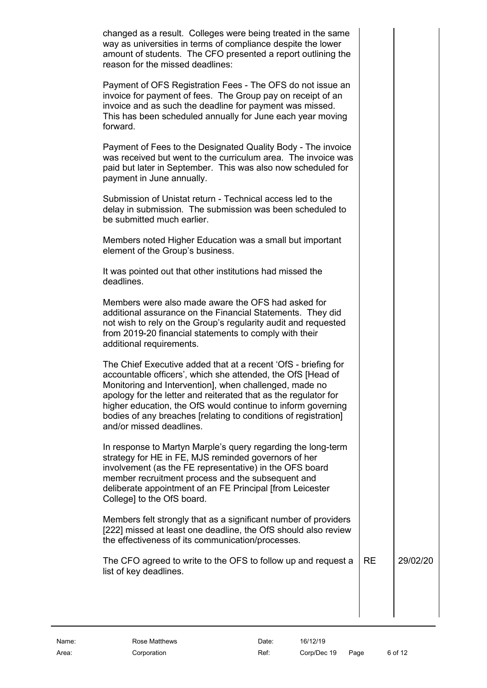| changed as a result. Colleges were being treated in the same<br>way as universities in terms of compliance despite the lower<br>amount of students. The CFO presented a report outlining the<br>reason for the missed deadlines:                                                                                                                                                                                          |           |          |
|---------------------------------------------------------------------------------------------------------------------------------------------------------------------------------------------------------------------------------------------------------------------------------------------------------------------------------------------------------------------------------------------------------------------------|-----------|----------|
| Payment of OFS Registration Fees - The OFS do not issue an<br>invoice for payment of fees. The Group pay on receipt of an<br>invoice and as such the deadline for payment was missed.<br>This has been scheduled annually for June each year moving<br>forward.                                                                                                                                                           |           |          |
| Payment of Fees to the Designated Quality Body - The invoice<br>was received but went to the curriculum area. The invoice was<br>paid but later in September. This was also now scheduled for<br>payment in June annually.                                                                                                                                                                                                |           |          |
| Submission of Unistat return - Technical access led to the<br>delay in submission. The submission was been scheduled to<br>be submitted much earlier.                                                                                                                                                                                                                                                                     |           |          |
| Members noted Higher Education was a small but important<br>element of the Group's business.                                                                                                                                                                                                                                                                                                                              |           |          |
| It was pointed out that other institutions had missed the<br>deadlines.                                                                                                                                                                                                                                                                                                                                                   |           |          |
| Members were also made aware the OFS had asked for<br>additional assurance on the Financial Statements. They did<br>not wish to rely on the Group's regularity audit and requested<br>from 2019-20 financial statements to comply with their<br>additional requirements.                                                                                                                                                  |           |          |
| The Chief Executive added that at a recent 'OfS - briefing for<br>accountable officers', which she attended, the OfS [Head of<br>Monitoring and Intervention], when challenged, made no<br>apology for the letter and reiterated that as the regulator for<br>higher education, the OfS would continue to inform governing<br>bodies of any breaches [relating to conditions of registration]<br>and/or missed deadlines. |           |          |
| In response to Martyn Marple's query regarding the long-term<br>strategy for HE in FE, MJS reminded governors of her<br>involvement (as the FE representative) in the OFS board<br>member recruitment process and the subsequent and<br>deliberate appointment of an FE Principal [from Leicester<br>College] to the OfS board.                                                                                           |           |          |
| Members felt strongly that as a significant number of providers<br>[222] missed at least one deadline, the OfS should also review<br>the effectiveness of its communication/processes.                                                                                                                                                                                                                                    |           |          |
| The CFO agreed to write to the OFS to follow up and request a<br>list of key deadlines.                                                                                                                                                                                                                                                                                                                                   | <b>RE</b> | 29/02/20 |
|                                                                                                                                                                                                                                                                                                                                                                                                                           |           |          |
|                                                                                                                                                                                                                                                                                                                                                                                                                           |           |          |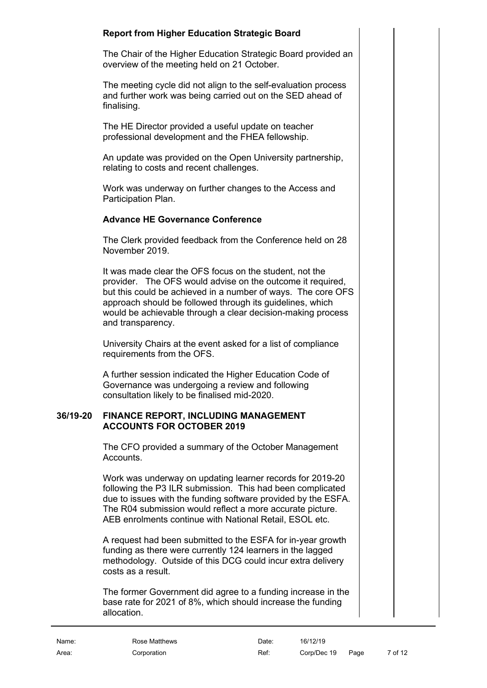# **Report from Higher Education Strategic Board**

The Chair of the Higher Education Strategic Board provided an overview of the meeting held on 21 October.

The meeting cycle did not align to the self-evaluation process and further work was being carried out on the SED ahead of finalising.

The HE Director provided a useful update on teacher professional development and the FHEA fellowship.

An update was provided on the Open University partnership, relating to costs and recent challenges.

Work was underway on further changes to the Access and Participation Plan.

# **Advance HE Governance Conference**

The Clerk provided feedback from the Conference held on 28 November 2019.

It was made clear the OFS focus on the student, not the provider. The OFS would advise on the outcome it required, but this could be achieved in a number of ways. The core OFS approach should be followed through its guidelines, which would be achievable through a clear decision-making process and transparency.

University Chairs at the event asked for a list of compliance requirements from the OFS.

A further session indicated the Higher Education Code of Governance was undergoing a review and following consultation likely to be finalised mid-2020.

# **36/19-20 FINANCE REPORT, INCLUDING MANAGEMENT ACCOUNTS FOR OCTOBER 2019**

<span id="page-6-0"></span>The CFO provided a summary of the October Management Accounts.

Work was underway on updating learner records for 2019-20 following the P3 ILR submission. This had been complicated due to issues with the funding software provided by the ESFA. The R04 submission would reflect a more accurate picture. AEB enrolments continue with National Retail, ESOL etc.

A request had been submitted to the ESFA for in-year growth funding as there were currently 124 learners in the lagged methodology. Outside of this DCG could incur extra delivery costs as a result.

The former Government did agree to a funding increase in the base rate for 2021 of 8%, which should increase the funding allocation.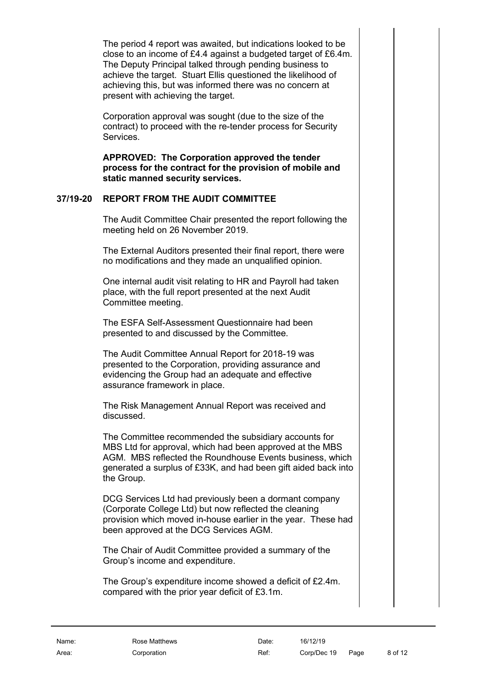The period 4 report was awaited, but indications looked to be close to an income of £4.4 against a budgeted target of £6.4m. The Deputy Principal talked through pending business to achieve the target. Stuart Ellis questioned the likelihood of achieving this, but was informed there was no concern at present with achieving the target.

Corporation approval was sought (due to the size of the contract) to proceed with the re-tender process for Security Services.

**APPROVED: The Corporation approved the tender process for the contract for the provision of mobile and static manned security services.**

# **37/19-20 REPORT FROM THE AUDIT COMMITTEE**

<span id="page-7-0"></span>The Audit Committee Chair presented the report following the meeting held on 26 November 2019.

The External Auditors presented their final report, there were no modifications and they made an unqualified opinion.

One internal audit visit relating to HR and Payroll had taken place, with the full report presented at the next Audit Committee meeting.

The ESFA Self-Assessment Questionnaire had been presented to and discussed by the Committee.

The Audit Committee Annual Report for 2018-19 was presented to the Corporation, providing assurance and evidencing the Group had an adequate and effective assurance framework in place.

The Risk Management Annual Report was received and discussed.

The Committee recommended the subsidiary accounts for MBS Ltd for approval, which had been approved at the MBS AGM. MBS reflected the Roundhouse Events business, which generated a surplus of £33K, and had been gift aided back into the Group.

DCG Services Ltd had previously been a dormant company (Corporate College Ltd) but now reflected the cleaning provision which moved in-house earlier in the year. These had been approved at the DCG Services AGM.

The Chair of Audit Committee provided a summary of the Group's income and expenditure.

The Group's expenditure income showed a deficit of £2.4m. compared with the prior year deficit of £3.1m.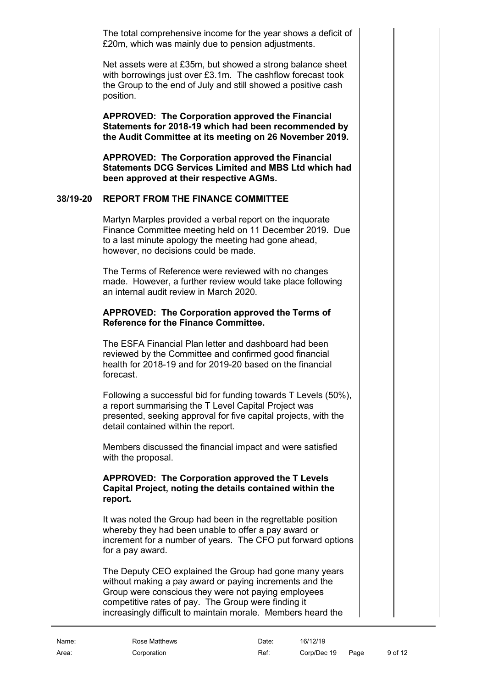The total comprehensive income for the year shows a deficit of £20m, which was mainly due to pension adjustments.

Net assets were at £35m, but showed a strong balance sheet with borrowings just over £3.1m. The cashflow forecast took the Group to the end of July and still showed a positive cash position.

**APPROVED: The Corporation approved the Financial Statements for 2018-19 which had been recommended by the Audit Committee at its meeting on 26 November 2019.**

**APPROVED: The Corporation approved the Financial Statements DCG Services Limited and MBS Ltd which had been approved at their respective AGMs.**

# **38/19-20 REPORT FROM THE FINANCE COMMITTEE**

<span id="page-8-0"></span>Martyn Marples provided a verbal report on the inquorate Finance Committee meeting held on 11 December 2019. Due to a last minute apology the meeting had gone ahead, however, no decisions could be made.

The Terms of Reference were reviewed with no changes made. However, a further review would take place following an internal audit review in March 2020.

# **APPROVED: The Corporation approved the Terms of Reference for the Finance Committee.**

The ESFA Financial Plan letter and dashboard had been reviewed by the Committee and confirmed good financial health for 2018-19 and for 2019-20 based on the financial forecast.

Following a successful bid for funding towards T Levels (50%), a report summarising the T Level Capital Project was presented, seeking approval for five capital projects, with the detail contained within the report.

Members discussed the financial impact and were satisfied with the proposal.

### **APPROVED: The Corporation approved the T Levels Capital Project, noting the details contained within the report.**

It was noted the Group had been in the regrettable position whereby they had been unable to offer a pay award or increment for a number of years. The CFO put forward options for a pay award.

The Deputy CEO explained the Group had gone many years without making a pay award or paying increments and the Group were conscious they were not paying employees competitive rates of pay. The Group were finding it increasingly difficult to maintain morale. Members heard the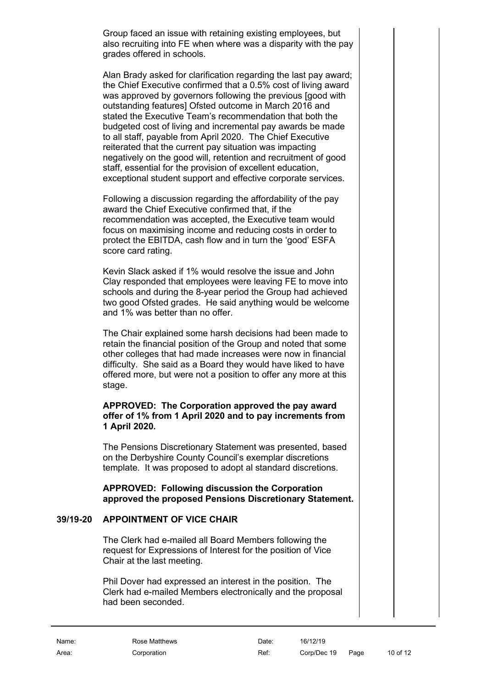Group faced an issue with retaining existing employees, but also recruiting into FE when where was a disparity with the pay grades offered in schools.

Alan Brady asked for clarification regarding the last pay award; the Chief Executive confirmed that a 0.5% cost of living award was approved by governors following the previous [good with outstanding features] Ofsted outcome in March 2016 and stated the Executive Team's recommendation that both the budgeted cost of living and incremental pay awards be made to all staff, payable from April 2020. The Chief Executive reiterated that the current pay situation was impacting negatively on the good will, retention and recruitment of good staff, essential for the provision of excellent education, exceptional student support and effective corporate services.

Following a discussion regarding the affordability of the pay award the Chief Executive confirmed that, if the recommendation was accepted, the Executive team would focus on maximising income and reducing costs in order to protect the EBITDA, cash flow and in turn the 'good' ESFA score card rating.

Kevin Slack asked if 1% would resolve the issue and John Clay responded that employees were leaving FE to move into schools and during the 8-year period the Group had achieved two good Ofsted grades. He said anything would be welcome and 1% was better than no offer.

The Chair explained some harsh decisions had been made to retain the financial position of the Group and noted that some other colleges that had made increases were now in financial difficulty. She said as a Board they would have liked to have offered more, but were not a position to offer any more at this stage.

### **APPROVED: The Corporation approved the pay award offer of 1% from 1 April 2020 and to pay increments from 1 April 2020.**

The Pensions Discretionary Statement was presented, based on the Derbyshire County Council's exemplar discretions template. It was proposed to adopt al standard discretions.

**APPROVED: Following discussion the Corporation approved the proposed Pensions Discretionary Statement.**

# **39/19-20 APPOINTMENT OF VICE CHAIR**

<span id="page-9-0"></span>The Clerk had e-mailed all Board Members following the request for Expressions of Interest for the position of Vice Chair at the last meeting.

Phil Dover had expressed an interest in the position. The Clerk had e-mailed Members electronically and the proposal had been seconded.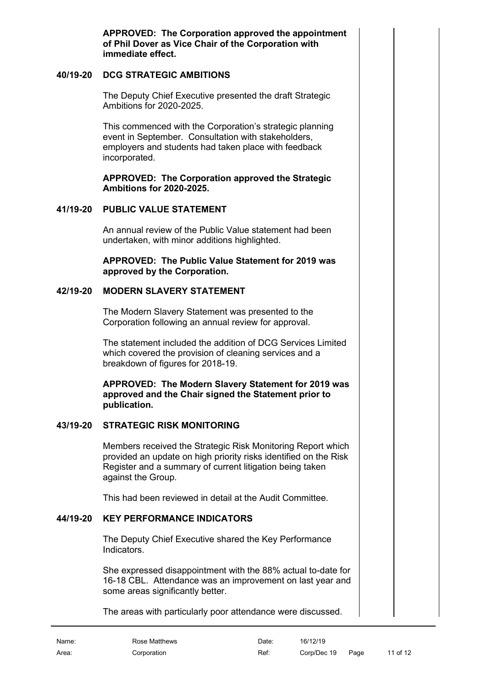**APPROVED: The Corporation approved the appointment of Phil Dover as Vice Chair of the Corporation with immediate effect.** 

# **40/19-20 DCG STRATEGIC AMBITIONS**

<span id="page-10-0"></span>The Deputy Chief Executive presented the draft Strategic Ambitions for 2020-2025.

This commenced with the Corporation's strategic planning event in September. Consultation with stakeholders, employers and students had taken place with feedback incorporated.

**APPROVED: The Corporation approved the Strategic Ambitions for 2020-2025.**

#### **41/19-20 PUBLIC VALUE STATEMENT**

<span id="page-10-1"></span>An annual review of the Public Value statement had been undertaken, with minor additions highlighted.

**APPROVED: The Public Value Statement for 2019 was approved by the Corporation.** 

### **42/19-20 MODERN SLAVERY STATEMENT**

<span id="page-10-2"></span>The Modern Slavery Statement was presented to the Corporation following an annual review for approval.

The statement included the addition of DCG Services Limited which covered the provision of cleaning services and a breakdown of figures for 2018-19.

**APPROVED: The Modern Slavery Statement for 2019 was approved and the Chair signed the Statement prior to publication.**

# **43/19-20 STRATEGIC RISK MONITORING**

<span id="page-10-3"></span>Members received the Strategic Risk Monitoring Report which provided an update on high priority risks identified on the Risk Register and a summary of current litigation being taken against the Group.

This had been reviewed in detail at the Audit Committee.

# **44/19-20 KEY PERFORMANCE INDICATORS**

<span id="page-10-4"></span>The Deputy Chief Executive shared the Key Performance Indicators.

She expressed disappointment with the 88% actual to-date for 16-18 CBL. Attendance was an improvement on last year and some areas significantly better.

The areas with particularly poor attendance were discussed.